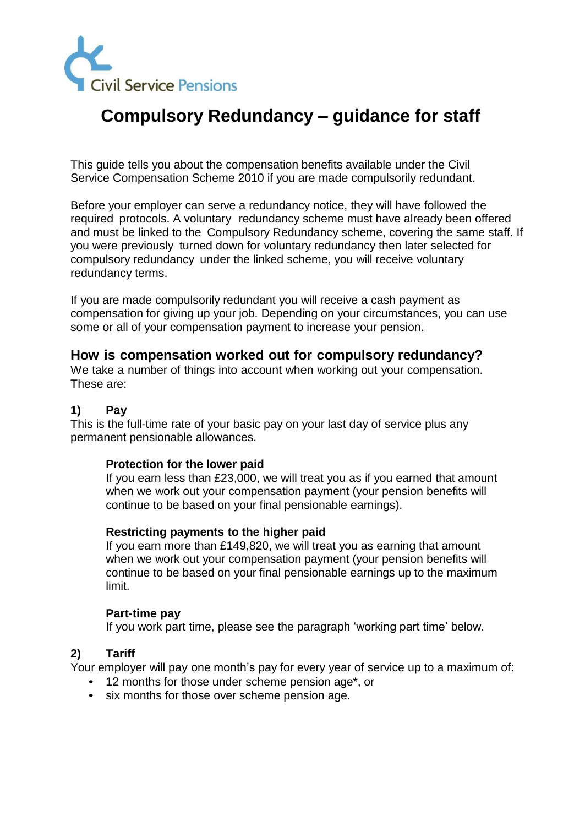

# **Compulsory Redundancy – guidance for staff**

This guide tells you about the compensation benefits available under the Civil Service Compensation Scheme 2010 if you are made compulsorily redundant.

Before your employer can serve a redundancy notice, they will have followed the required protocols. A voluntary redundancy scheme must have already been offered and must be linked to the Compulsory Redundancy scheme, covering the same staff. If you were previously turned down for voluntary redundancy then later selected for compulsory redundancy under the linked scheme, you will receive voluntary redundancy terms.

If you are made compulsorily redundant you will receive a cash payment as compensation for giving up your job. Depending on your circumstances, you can use some or all of your compensation payment to increase your pension.

## **How is compensation worked out for compulsory redundancy?**

We take a number of things into account when working out your compensation. These are:

## **1) Pay**

This is the full-time rate of your basic pay on your last day of service plus any permanent pensionable allowances.

## **Protection for the lower paid**

If you earn less than £23,000, we will treat you as if you earned that amount when we work out your compensation payment (your pension benefits will continue to be based on your final pensionable earnings).

## **Restricting payments to the higher paid**

If you earn more than £149,820, we will treat you as earning that amount when we work out your compensation payment (your pension benefits will continue to be based on your final pensionable earnings up to the maximum limit.

#### **Part-time pay**

If you work part time, please see the paragraph 'working part time' below.

## **2) Tariff**

Your employer will pay one month's pay for every year of service up to a maximum of:

- 12 months for those under scheme pension age\*, or
- six months for those over scheme pension age.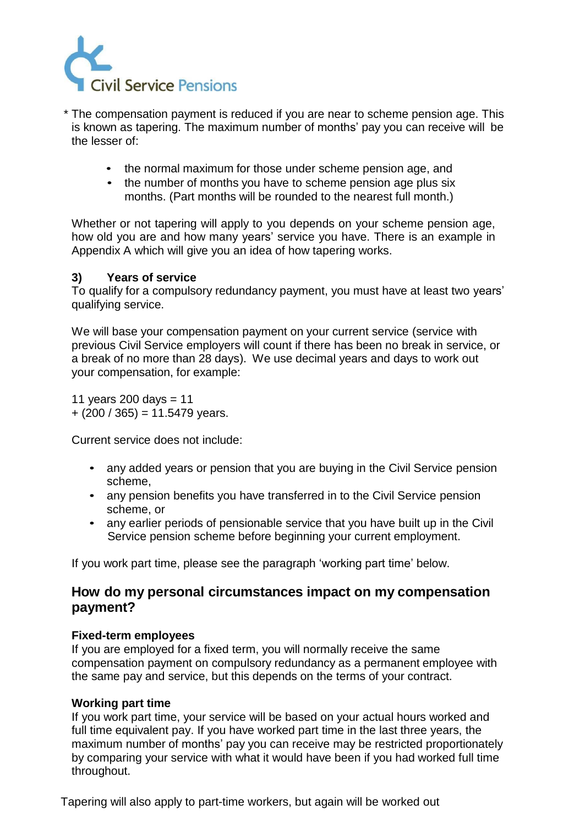

\* The compensation payment is reduced if you are near to scheme pension age. This is known as tapering. The maximum number of months' pay you can receive will be the lesser of:

- the normal maximum for those under scheme pension age, and
- the number of months you have to scheme pension age plus six months. (Part months will be rounded to the nearest full month.)

Whether or not tapering will apply to you depends on your scheme pension age, how old you are and how many years' service you have. There is an example in Appendix A which will give you an idea of how tapering works.

## **3) Years of service**

To qualify for a compulsory redundancy payment, you must have at least two years' qualifying service.

We will base your compensation payment on your current service (service with previous Civil Service employers will count if there has been no break in service, or a break of no more than 28 days). We use decimal years and days to work out your compensation, for example:

11 years 200 days  $= 11$  $+ (200 / 365) = 11.5479$  years.

Current service does not include:

- any added years or pension that you are buying in the Civil Service pension scheme,
- any pension benefits you have transferred in to the Civil Service pension scheme, or
- any earlier periods of pensionable service that you have built up in the Civil Service pension scheme before beginning your current employment.

If you work part time, please see the paragraph 'working part time' below.

## **How do my personal circumstances impact on my compensation payment?**

## **Fixed-term employees**

If you are employed for a fixed term, you will normally receive the same compensation payment on compulsory redundancy as a permanent employee with the same pay and service, but this depends on the terms of your contract.

## **Working part time**

If you work part time, your service will be based on your actual hours worked and full time equivalent pay. If you have worked part time in the last three years, the maximum number of months' pay you can receive may be restricted proportionately by comparing your service with what it would have been if you had worked full time throughout.

Tapering will also apply to part-time workers, but again will be worked out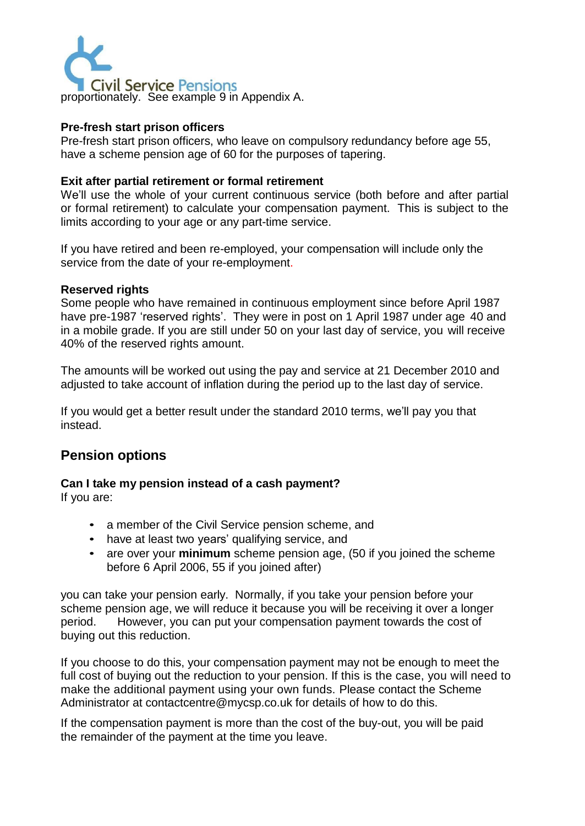

## **Pre-fresh start prison officers**

Pre-fresh start prison officers, who leave on compulsory redundancy before age 55, have a scheme pension age of 60 for the purposes of tapering.

## **Exit after partial retirement or formal retirement**

We'll use the whole of your current continuous service (both before and after partial or formal retirement) to calculate your compensation payment. This is subject to the limits according to your age or any part-time service.

If you have retired and been re-employed, your compensation will include only the service from the date of your re-employment.

#### **Reserved rights**

Some people who have remained in continuous employment since before April 1987 have pre-1987 'reserved rights'. They were in post on 1 April 1987 under age 40 and in a mobile grade. If you are still under 50 on your last day of service, you will receive 40% of the reserved rights amount.

The amounts will be worked out using the pay and service at 21 December 2010 and adjusted to take account of inflation during the period up to the last day of service.

If you would get a better result under the standard 2010 terms, we'll pay you that instead.

## **Pension options**

# **Can I take my pension instead of a cash payment?**

If you are:

- a member of the Civil Service pension scheme, and
- have at least two years' qualifying service, and
- are over your **minimum** scheme pension age, (50 if you joined the scheme before 6 April 2006, 55 if you joined after)

you can take your pension early. Normally, if you take your pension before your scheme pension age, we will reduce it because you will be receiving it over a longer period. However, you can put your compensation payment towards the cost of buying out this reduction.

If you choose to do this, your compensation payment may not be enough to meet the full cost of buying out the reduction to your pension. If this is the case, you will need to make the additional payment using your own funds. Please contact the Scheme Administrator [at contactcentre@mycsp.co.uk](mailto:contactcentre@mycsp.co.uk) for details of how to do this.

If the compensation payment is more than the cost of the buy-out, you will be paid the remainder of the payment at the time you leave.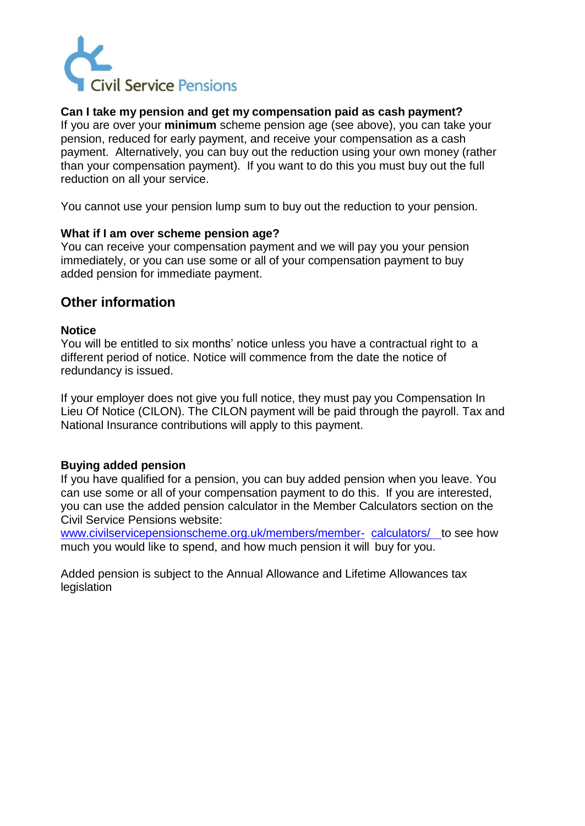

## **Can I take my pension and get my compensation paid as cash payment?**

If you are over your **minimum** scheme pension age (see above), you can take your pension, reduced for early payment, and receive your compensation as a cash payment. Alternatively, you can buy out the reduction using your own money (rather than your compensation payment). If you want to do this you must buy out the full reduction on all your service.

You cannot use your pension lump sum to buy out the reduction to your pension.

## **What if I am over scheme pension age?**

You can receive your compensation payment and we will pay you your pension immediately, or you can use some or all of your compensation payment to buy added pension for immediate payment.

## **Other information**

#### **Notice**

You will be entitled to six months' notice unless you have a contractual right to a different period of notice. Notice will commence from the date the notice of redundancy is issued.

If your employer does not give you full notice, they must pay you Compensation In Lieu Of Notice (CILON). The CILON payment will be paid through the payroll. Tax and National Insurance contributions will apply to this payment.

## **Buying added pension**

If you have qualified for a pension, you can buy added pension when you leave. You can use some or all of your compensation payment to do this. If you are interested, you can use the added pension calculator in the Member Calculators section on the Civil Service Pensions website:

[www.civilservicepensionscheme.org.uk/members/member-](http://www.civilservicepensionscheme.org.uk/members/member-calculators/) [calculators/ t](http://www.civilservicepensionscheme.org.uk/members/member-calculators/)o see how much you would like to spend, and how much pension it will buy for you.

Added pension is subject to the Annual Allowance and Lifetime Allowances tax legislation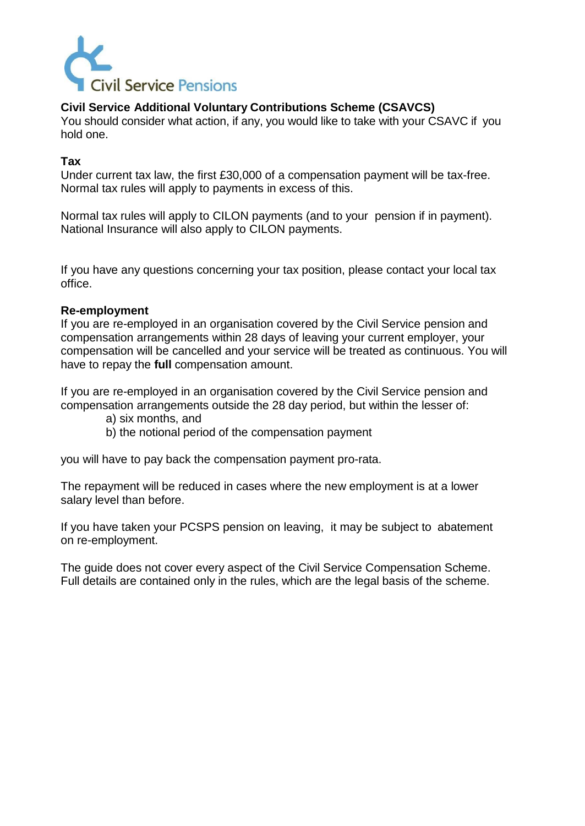

## **Civil Service Additional Voluntary Contributions Scheme (CSAVCS)**

You should consider what action, if any, you would like to take with your CSAVC if you hold one.

## **Tax**

Under current tax law, the first £30,000 of a compensation payment will be tax-free. Normal tax rules will apply to payments in excess of this.

Normal tax rules will apply to CILON payments (and to your pension if in payment). National Insurance will also apply to CILON payments.

If you have any questions concerning your tax position, please contact your local tax office.

## **Re-employment**

If you are re-employed in an organisation covered by the Civil Service pension and compensation arrangements within 28 days of leaving your current employer, your compensation will be cancelled and your service will be treated as continuous. You will have to repay the **full** compensation amount.

If you are re-employed in an organisation covered by the Civil Service pension and compensation arrangements outside the 28 day period, but within the lesser of:

- a) six months, and
- b) the notional period of the compensation payment

you will have to pay back the compensation payment pro-rata.

The repayment will be reduced in cases where the new employment is at a lower salary level than before.

If you have taken your PCSPS pension on leaving, it may be subject to abatement on re-employment.

The guide does not cover every aspect of the Civil Service Compensation Scheme. Full details are contained only in the rules, which are the legal basis of the scheme.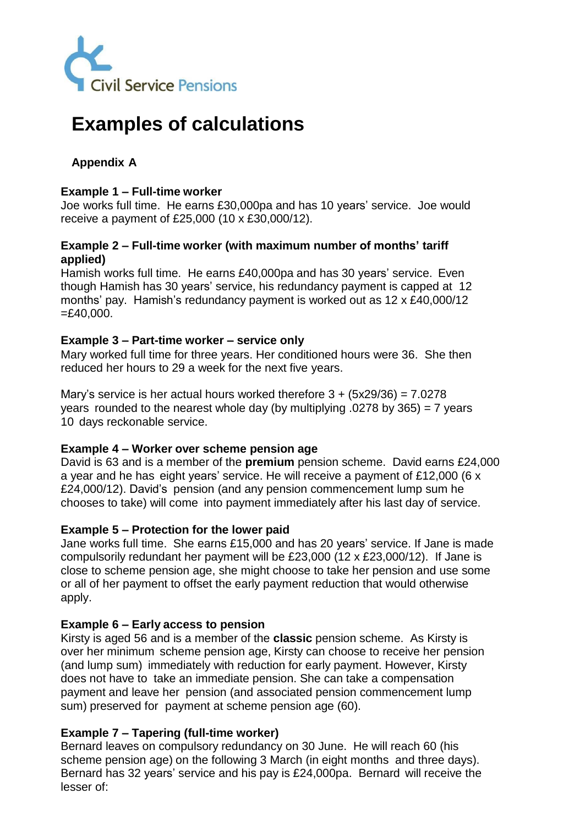

# **Examples of calculations**

## **Appendix A**

## **Example 1 – Full-time worker**

Joe works full time. He earns £30,000pa and has 10 years' service. Joe would receive a payment of £25,000 (10 x £30,000/12).

## **Example 2 – Full-time worker (with maximum number of months' tariff applied)**

Hamish works full time. He earns £40,000pa and has 30 years' service. Even though Hamish has 30 years' service, his redundancy payment is capped at 12 months' pay. Hamish's redundancy payment is worked out as 12 x £40,000/12  $=£40,000.$ 

## **Example 3 – Part-time worker – service only**

Mary worked full time for three years. Her conditioned hours were 36. She then reduced her hours to 29 a week for the next five years.

Mary's service is her actual hours worked therefore  $3 + (5x29/36) = 7.0278$ years rounded to the nearest whole day (by multiplying  $.0278$  by 365) = 7 years 10 days reckonable service.

## **Example 4 – Worker over scheme pension age**

David is 63 and is a member of the **premium** pension scheme. David earns £24,000 a year and he has eight years' service. He will receive a payment of £12,000 (6 x £24,000/12). David's pension (and any pension commencement lump sum he chooses to take) will come into payment immediately after his last day of service.

## **Example 5 – Protection for the lower paid**

Jane works full time. She earns £15,000 and has 20 years' service. If Jane is made compulsorily redundant her payment will be £23,000 (12 x £23,000/12). If Jane is close to scheme pension age, she might choose to take her pension and use some or all of her payment to offset the early payment reduction that would otherwise apply.

## **Example 6 – Early access to pension**

Kirsty is aged 56 and is a member of the **classic** pension scheme. As Kirsty is over her minimum scheme pension age, Kirsty can choose to receive her pension (and lump sum) immediately with reduction for early payment. However, Kirsty does not have to take an immediate pension. She can take a compensation payment and leave her pension (and associated pension commencement lump sum) preserved for payment at scheme pension age (60).

## **Example 7 – Tapering (full-time worker)**

Bernard leaves on compulsory redundancy on 30 June. He will reach 60 (his scheme pension age) on the following 3 March (in eight months and three days). Bernard has 32 years' service and his pay is £24,000pa. Bernard will receive the lesser of: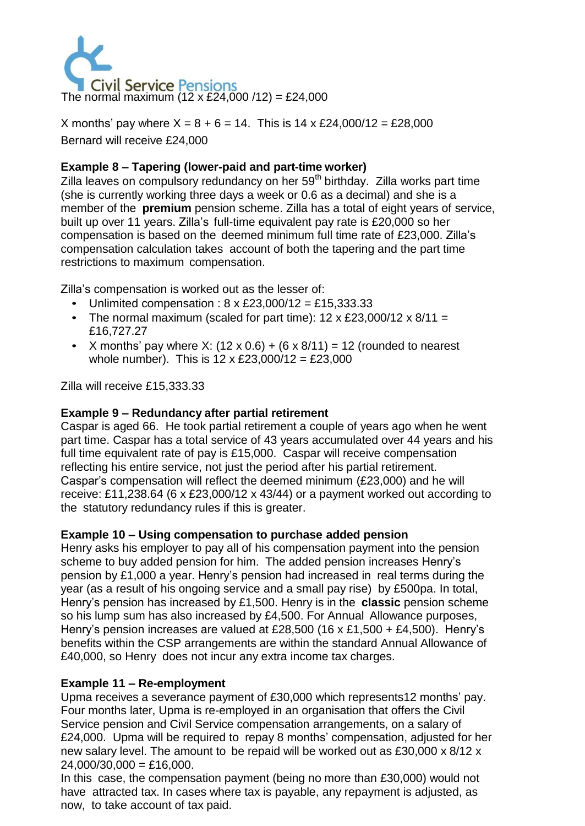

X months' pay where  $X = 8 + 6 = 14$ . This is 14 x £24,000/12 = £28,000 Bernard will receive £24,000

## **Example 8 – Tapering (lower-paid and part-time worker)**

Zilla leaves on compulsory redundancy on her 59<sup>th</sup> birthday. Zilla works part time (she is currently working three days a week or 0.6 as a decimal) and she is a member of the **premium** pension scheme. Zilla has a total of eight years of service, built up over 11 years. Zilla's full-time equivalent pay rate is £20,000 so her compensation is based on the deemed minimum full time rate of £23,000. Zilla's compensation calculation takes account of both the tapering and the part time restrictions to maximum compensation.

Zilla's compensation is worked out as the lesser of:

- Unlimited compensation :  $8 \times \text{\pounds}23,000/12 = \text{\pounds}15,333.33$
- The normal maximum (scaled for part time):  $12 \times \text{\pounds}23,000/12 \times \text{\pounds}11 =$ £16,727.27
- X months' pay where X:  $(12 \times 0.6) + (6 \times 8/11) = 12$  (rounded to nearest whole number). This is  $12 \times \text{\pounds}23,000/12 = \text{\pounds}23,000$

Zilla will receive £15,333.33

## **Example 9 – Redundancy after partial retirement**

Caspar is aged 66. He took partial retirement a couple of years ago when he went part time. Caspar has a total service of 43 years accumulated over 44 years and his full time equivalent rate of pay is £15,000. Caspar will receive compensation reflecting his entire service, not just the period after his partial retirement. Caspar's compensation will reflect the deemed minimum (£23,000) and he will receive: £11,238.64 (6 x £23,000/12 x 43/44) or a payment worked out according to the statutory redundancy rules if this is greater.

## **Example 10 – Using compensation to purchase added pension**

Henry asks his employer to pay all of his compensation payment into the pension scheme to buy added pension for him. The added pension increases Henry's pension by £1,000 a year. Henry's pension had increased in real terms during the year (as a result of his ongoing service and a small pay rise) by £500pa. In total, Henry's pension has increased by £1,500. Henry is in the **classic** pension scheme so his lump sum has also increased by £4,500. For Annual Allowance purposes, Henry's pension increases are valued at £28,500 (16 x £1,500 + £4,500). Henry's benefits within the CSP arrangements are within the standard Annual Allowance of £40,000, so Henry does not incur any extra income tax charges.

## **Example 11 – Re-employment**

Upma receives a severance payment of £30,000 which represents12 months' pay. Four months later, Upma is re-employed in an organisation that offers the Civil Service pension and Civil Service compensation arrangements, on a salary of £24,000. Upma will be required to repay 8 months' compensation, adjusted for her new salary level. The amount to be repaid will be worked out as £30,000 x 8/12 x  $24,000/30,000 =$ £16,000.

In this case, the compensation payment (being no more than £30,000) would not have attracted tax. In cases where tax is payable, any repayment is adjusted, as now, to take account of tax paid.